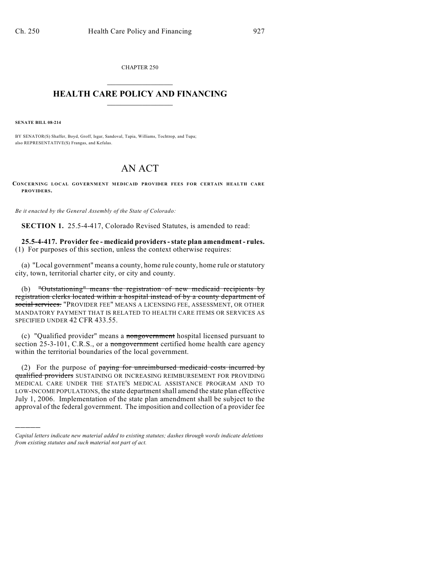CHAPTER 250  $\mathcal{L}_\text{max}$  . The set of the set of the set of the set of the set of the set of the set of the set of the set of the set of the set of the set of the set of the set of the set of the set of the set of the set of the set

## **HEALTH CARE POLICY AND FINANCING**  $\_$   $\_$   $\_$   $\_$   $\_$   $\_$   $\_$   $\_$

**SENATE BILL 08-214**

)))))

BY SENATOR(S) Shaffer, Boyd, Groff, Isgar, Sandoval, Tapia, Williams, Tochtrop, and Tupa; also REPRESENTATIVE(S) Frangas, and Kefalas.

## AN ACT

**CONCERNING LOCAL GOVERNMENT MEDICAID PROVIDER FEES FOR CERTAIN HEALTH CARE PROVIDERS.**

*Be it enacted by the General Assembly of the State of Colorado:*

**SECTION 1.** 25.5-4-417, Colorado Revised Statutes, is amended to read:

**25.5-4-417. Provider fee - medicaid providers - state plan amendment - rules.** (1) For purposes of this section, unless the context otherwise requires:

(a) "Local government" means a county, home rule county, home rule or statutory city, town, territorial charter city, or city and county.

(b) "Outstationing" means the registration of new medicaid recipients by registration clerks located within a hospital instead of by a county department of social services. "PROVIDER FEE" MEANS A LICENSING FEE, ASSESSMENT, OR OTHER MANDATORY PAYMENT THAT IS RELATED TO HEALTH CARE ITEMS OR SERVICES AS SPECIFIED UNDER 42 CFR 433.55.

(c) "Qualified provider" means a nongovernment hospital licensed pursuant to section 25-3-101, C.R.S., or a nongovernment certified home health care agency within the territorial boundaries of the local government.

(2) For the purpose of paying for unreimbursed medicaid costs incurred by qualified providers SUSTAINING OR INCREASING REIMBURSEMENT FOR PROVIDING MEDICAL CARE UNDER THE STATE'S MEDICAL ASSISTANCE PROGRAM AND TO LOW-INCOME POPULATIONS, the state department shall amend the state plan effective July 1, 2006. Implementation of the state plan amendment shall be subject to the approval of the federal government. The imposition and collection of a provider fee

*Capital letters indicate new material added to existing statutes; dashes through words indicate deletions from existing statutes and such material not part of act.*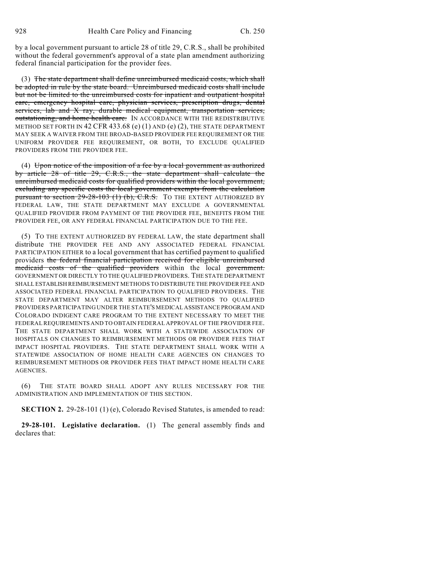by a local government pursuant to article 28 of title 29, C.R.S., shall be prohibited without the federal government's approval of a state plan amendment authorizing federal financial participation for the provider fees.

(3) The state department shall define unreimbursed medicaid costs, which shall be adopted in rule by the state board. Unreimbursed medicaid costs shall include but not be limited to the unreimbursed costs for inpatient and outpatient hospital care, emergency hospital care, physician services, prescription drugs, dental services, lab and X ray, durable medical equipment, transportation services, outstationing, and home health care. IN ACCORDANCE WITH THE REDISTRIBUTIVE METHOD SET FORTH IN 42 CFR 433.68 (e) (1) AND (e) (2), THE STATE DEPARTMENT MAY SEEK A WAIVER FROM THE BROAD-BASED PROVIDER FEE REQUIREMENT OR THE UNIFORM PROVIDER FEE REQUIREMENT, OR BOTH, TO EXCLUDE QUALIFIED PROVIDERS FROM THE PROVIDER FEE.

(4) Upon notice of the imposition of a fee by a local government as authorized by article 28 of title 29, C.R.S., the state department shall calculate the unreimbursed medicaid costs for qualified providers within the local government, excluding any specific costs the local government exempts from the calculation pursuant to section 29-28-103 (1) (b), C.R.S. TO THE EXTENT AUTHORIZED BY FEDERAL LAW, THE STATE DEPARTMENT MAY EXCLUDE A GOVERNMENTAL QUALIFIED PROVIDER FROM PAYMENT OF THE PROVIDER FEE, BENEFITS FROM THE PROVIDER FEE, OR ANY FEDERAL FINANCIAL PARTICIPATION DUE TO THE FEE.

(5) TO THE EXTENT AUTHORIZED BY FEDERAL LAW, the state department shall distribute THE PROVIDER FEE AND ANY ASSOCIATED FEDERAL FINANCIAL PARTICIPATION EITHER to a local government that has certified payment to qualified providers the federal financial participation received for eligible unreimbursed medicaid costs of the qualified providers within the local government. GOVERNMENT OR DIRECTLY TO THE QUALIFIED PROVIDERS. THE STATE DEPARTMENT SHALL ESTABLISH REIMBURSEMENT METHODS TO DISTRIBUTE THE PROVIDER FEE AND ASSOCIATED FEDERAL FINANCIAL PARTICIPATION TO QUALIFIED PROVIDERS. THE STATE DEPARTMENT MAY ALTER REIMBURSEMENT METHODS TO QUALIFIED PROVIDERS PARTICIPATING UNDER THE STATE'S MEDICAL ASSISTANCE PROGRAM AND COLORADO INDIGENT CARE PROGRAM TO THE EXTENT NECESSARY TO MEET THE FEDERAL REQUIREMENTS AND TO OBTAIN FEDERAL APPROVAL OF THE PROVIDER FEE. THE STATE DEPARTMENT SHALL WORK WITH A STATEWIDE ASSOCIATION OF HOSPITALS ON CHANGES TO REIMBURSEMENT METHODS OR PROVIDER FEES THAT IMPACT HOSPITAL PROVIDERS. THE STATE DEPARTMENT SHALL WORK WITH A STATEWIDE ASSOCIATION OF HOME HEALTH CARE AGENCIES ON CHANGES TO REIMBURSEMENT METHODS OR PROVIDER FEES THAT IMPACT HOME HEALTH CARE AGENCIES.

(6) THE STATE BOARD SHALL ADOPT ANY RULES NECESSARY FOR THE ADMINISTRATION AND IMPLEMENTATION OF THIS SECTION.

**SECTION 2.** 29-28-101 (1) (e), Colorado Revised Statutes, is amended to read:

**29-28-101. Legislative declaration.** (1) The general assembly finds and declares that: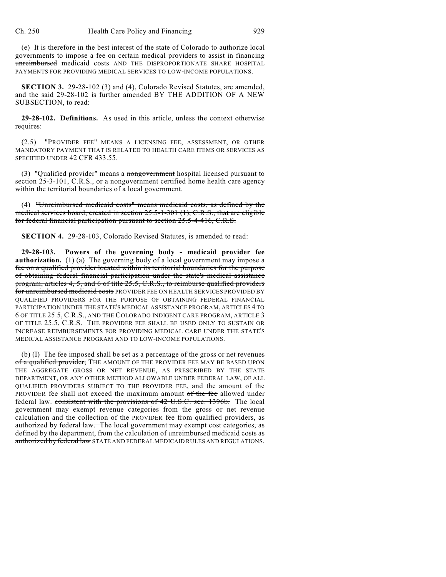(e) It is therefore in the best interest of the state of Colorado to authorize local governments to impose a fee on certain medical providers to assist in financing unreimbursed medicaid costs AND THE DISPROPORTIONATE SHARE HOSPITAL PAYMENTS FOR PROVIDING MEDICAL SERVICES TO LOW-INCOME POPULATIONS.

**SECTION 3.** 29-28-102 (3) and (4), Colorado Revised Statutes, are amended, and the said 29-28-102 is further amended BY THE ADDITION OF A NEW SUBSECTION, to read:

**29-28-102. Definitions.** As used in this article, unless the context otherwise requires:

(2.5) "PROVIDER FEE" MEANS A LICENSING FEE, ASSESSMENT, OR OTHER MANDATORY PAYMENT THAT IS RELATED TO HEALTH CARE ITEMS OR SERVICES AS SPECIFIED UNDER 42 CFR 433.55.

(3) "Qualified provider" means a nongovernment hospital licensed pursuant to section 25-3-101, C.R.S., or a nongovernment certified home health care agency within the territorial boundaries of a local government.

(4) "Unreimbursed medicaid costs" means medicaid costs, as defined by the medical services board, created in section 25.5-1-301 (1), C.R.S., that are eligible for federal financial participation pursuant to section 25.5-4-416, C.R.S.

**SECTION 4.** 29-28-103, Colorado Revised Statutes, is amended to read:

**29-28-103. Powers of the governing body - medicaid provider fee authorization.** (1) (a) The governing body of a local government may impose a fee on a qualified provider located within its territorial boundaries for the purpose of obtaining federal financial participation under the state's medical assistance program, articles 4, 5, and 6 of title 25.5, C.R.S., to reimburse qualified providers for unreimbursed medicaid costs PROVIDER FEE ON HEALTH SERVICES PROVIDED BY QUALIFIED PROVIDERS FOR THE PURPOSE OF OBTAINING FEDERAL FINANCIAL PARTICIPATION UNDER THE STATE'S MEDICAL ASSISTANCE PROGRAM, ARTICLES 4 TO 6 OF TITLE 25.5, C.R.S., AND THE COLORADO INDIGENT CARE PROGRAM, ARTICLE 3 OF TITLE 25.5, C.R.S. THE PROVIDER FEE SHALL BE USED ONLY TO SUSTAIN OR INCREASE REIMBURSEMENTS FOR PROVIDING MEDICAL CARE UNDER THE STATE'S MEDICAL ASSISTANCE PROGRAM AND TO LOW-INCOME POPULATIONS.

(b) (I) The fee imposed shall be set as a percentage of the gross or net revenues of a qualified provider, THE AMOUNT OF THE PROVIDER FEE MAY BE BASED UPON THE AGGREGATE GROSS OR NET REVENUE, AS PRESCRIBED BY THE STATE DEPARTMENT, OR ANY OTHER METHOD ALLOWABLE UNDER FEDERAL LAW, OF ALL QUALIFIED PROVIDERS SUBJECT TO THE PROVIDER FEE, and the amount of the PROVIDER fee shall not exceed the maximum amount of the fee allowed under federal law. consistent with the provisions of 42 U.S.C. sec. 1396b. The local government may exempt revenue categories from the gross or net revenue calculation and the collection of the PROVIDER fee from qualified providers, as authorized by federal law. The local government may exempt cost categories, as defined by the department, from the calculation of unreimbursed medicaid costs as authorized by federal law STATE AND FEDERAL MEDICAID RULES AND REGULATIONS.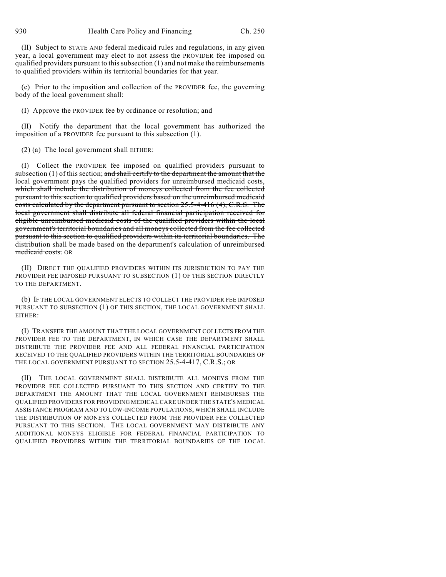(II) Subject to STATE AND federal medicaid rules and regulations, in any given year, a local government may elect to not assess the PROVIDER fee imposed on qualified providers pursuant to this subsection (1) and not make the reimbursements to qualified providers within its territorial boundaries for that year.

(c) Prior to the imposition and collection of the PROVIDER fee, the governing body of the local government shall:

(I) Approve the PROVIDER fee by ordinance or resolution; and

(II) Notify the department that the local government has authorized the imposition of a PROVIDER fee pursuant to this subsection (1).

(2) (a) The local government shall EITHER:

(I) Collect the PROVIDER fee imposed on qualified providers pursuant to subsection  $(1)$  of this section; and shall certify to the department the amount that the local government pays the qualified providers for unreimbursed medicaid costs, which shall include the distribution of moneys collected from the fee collected pursuant to this section to qualified providers based on the unreimbursed medicaid costs calculated by the department pursuant to section 25.5-4-416 (4), C.R.S. The local government shall distribute all federal financial participation received for eligible unreimbursed medicaid costs of the qualified providers within the local government's territorial boundaries and all moneys collected from the fee collected pursuant to this section to qualified providers within its territorial boundaries. The distribution shall be made based on the department's calculation of unreimbursed medicaid costs. OR

(II) DIRECT THE QUALIFIED PROVIDERS WITHIN ITS JURISDICTION TO PAY THE PROVIDER FEE IMPOSED PURSUANT TO SUBSECTION (1) OF THIS SECTION DIRECTLY TO THE DEPARTMENT.

(b) IF THE LOCAL GOVERNMENT ELECTS TO COLLECT THE PROVIDER FEE IMPOSED PURSUANT TO SUBSECTION (1) OF THIS SECTION, THE LOCAL GOVERNMENT SHALL EITHER:

(I) TRANSFER THE AMOUNT THAT THE LOCAL GOVERNMENT COLLECTS FROM THE PROVIDER FEE TO THE DEPARTMENT, IN WHICH CASE THE DEPARTMENT SHALL DISTRIBUTE THE PROVIDER FEE AND ALL FEDERAL FINANCIAL PARTICIPATION RECEIVED TO THE QUALIFIED PROVIDERS WITHIN THE TERRITORIAL BOUNDARIES OF THE LOCAL GOVERNMENT PURSUANT TO SECTION 25.5-4-417, C.R.S.; OR

(II) THE LOCAL GOVERNMENT SHALL DISTRIBUTE ALL MONEYS FROM THE PROVIDER FEE COLLECTED PURSUANT TO THIS SECTION AND CERTIFY TO THE DEPARTMENT THE AMOUNT THAT THE LOCAL GOVERNMENT REIMBURSES THE QUALIFIED PROVIDERS FOR PROVIDING MEDICAL CARE UNDER THE STATE'S MEDICAL ASSISTANCE PROGRAM AND TO LOW-INCOME POPULATIONS, WHICH SHALL INCLUDE THE DISTRIBUTION OF MONEYS COLLECTED FROM THE PROVIDER FEE COLLECTED PURSUANT TO THIS SECTION. THE LOCAL GOVERNMENT MAY DISTRIBUTE ANY ADDITIONAL MONEYS ELIGIBLE FOR FEDERAL FINANCIAL PARTICIPATION TO QUALIFIED PROVIDERS WITHIN THE TERRITORIAL BOUNDARIES OF THE LOCAL